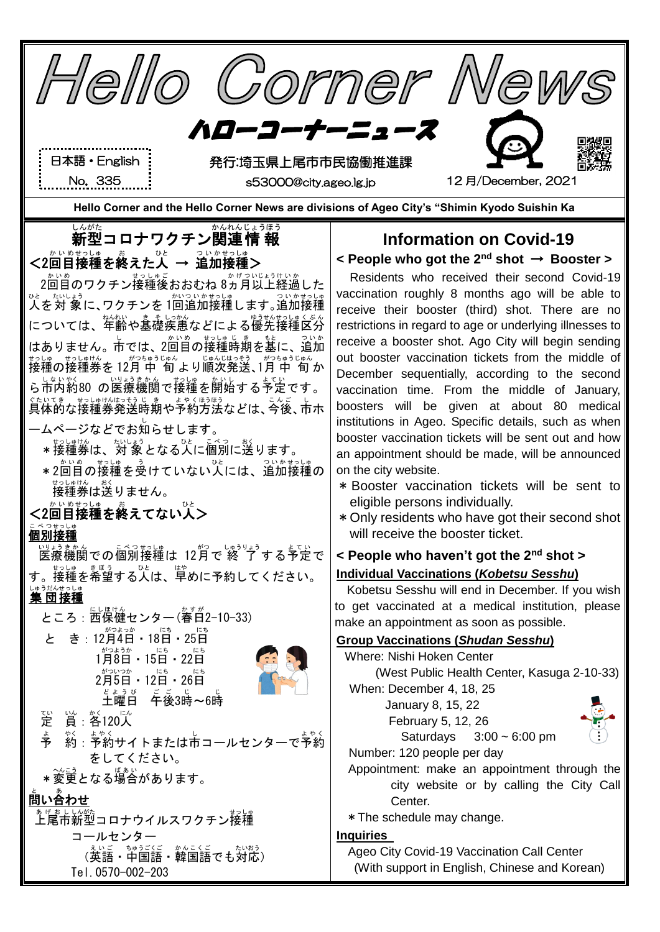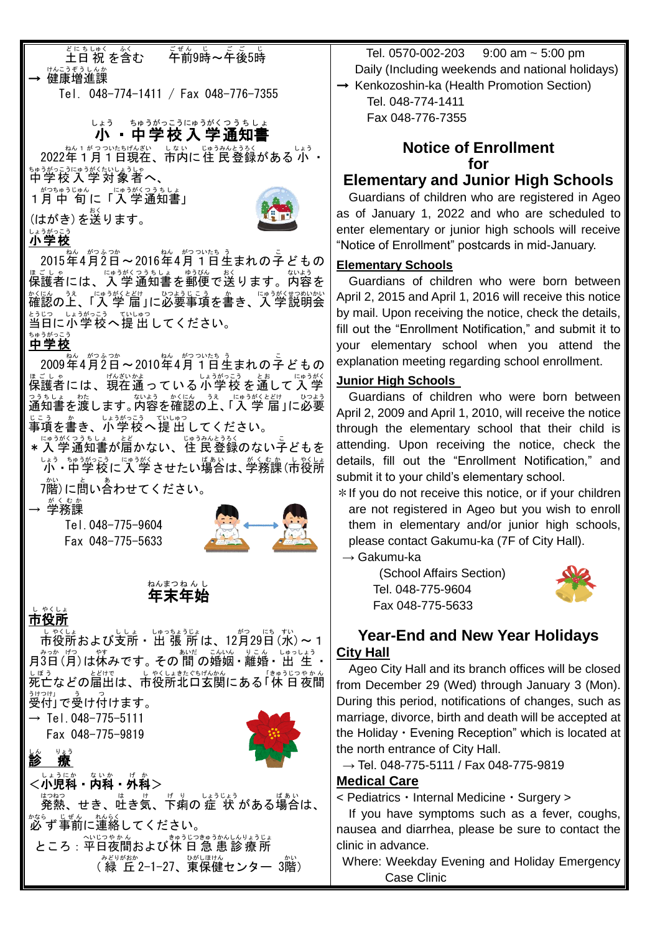#### *ど*にちしゅく …ぶ<br>**土日 祝 を含む** こぜん じ こ <u>じ</u><br>午前9時〜午後5時 → 健康増進課

Tel. 048-774-1411 / Fax 048-776-7355

# └ょぅ <sub>ጜ</sub>ゅぅがっこぅにょ<br>**小・中学校入学通知書**

2022年1月1日現在、市内に住 民登録がある 小 ・ <u>をゅうがっこうにゅうがくたいしょうしゃ</u><br>中学校入学対象者へ、

1月 がつ 中 旬 ちゅうじゅん に「入 学 にゅうがく 通知書 つうちしょ 」

。<br>(はがき)を送ります。



### 小学校 しょうがっこう

2015年4月2日~2016年4月1日生まれの子どもの <sub>ほごしゃ</sub><br>保護者には、入 学 通知書を郵便で送ります。内容を \*<にん。うぇ、にゅうがくとどけ、、 ひょうじこう。 か。 こゅうがくせつめいかい<br>確認の上、「入 学 届 」に必要事項を書き、入 学説明会 当日 とうじつ に小学校 しょうがっこう へ提 出 ていしゅつ してください。

### 。。。。。<br>**中学校**

2009年4月2日~2010年4月1日生まれの字どもの <sub>ほごしゃ</sub><br>保護者には、現在通っている小学校 を通して人学 っぅもしょ 焚」<br>通知書を渡します。内容を確認の上、「入 学 届 」に必要 事項 じこう を書 か き、小学校 しょうがっこう へ提 出 ていしゅつ してください。

★入学通知書が届かない、住 民登録のない子どもを └♪ぅ ホッカミュラぅ └ッラボ させたい場合は、学務課 (市役所

7階)に蔄い舎わせてください。

→ 学務課 がくむか

 Tel.048-775-9604 Fax 048-775-5633



#### 年末 年始 ねんまつ ねんし

## ー。<br>**市役所**

しい。<br>市役所および支所・ 出 張 所 は、12月29日 (水) ~ 1 月3日(月)は休みです。 その 間 の婚姻 • 離婚 • 出 生 • └ぼぅ<br>死亡などの届出は、市役所北口玄関にある「休 日 夜間 <u>,。。。。。</u><br>受付」で受け付けます。

 $\rightarrow$  Tel. 048-775-5111

Fax 048-775-9819



診 療 <小児科・内科・外科>

はったっ<br>発熱、せき、吐き気、下痢の 症 状 がある場合は、 必 ず かなら 事前 じぜん に連絡 れんらく してください。 ところ:平日夜間および休 日 急 患 診 療 所 ( 緑 丘 みどりがおか 2-1-27、東保健 ひがしほけん センター 3階 かい )

 Tel. 0570-002-203 9:00 am ~ 5:00 pm Daily (Including weekends and national holidays) → Kenkozoshin-ka (Health Promotion Section)

 Tel. 048-774-1411 Fax 048-776-7355

#### **Notice of Enrollment for**

## **Elementary and Junior High Schools**

Guardians of children who are registered in Ageo as of January 1, 2022 and who are scheduled to enter elementary or junior high schools will receive "Notice of Enrollment" postcards in mid-January.

#### **Elementary Schools**

Guardians of children who were born between April 2, 2015 and April 1, 2016 will receive this notice by mail. Upon receiving the notice, check the details, fill out the "Enrollment Notification," and submit it to your elementary school when you attend the explanation meeting regarding school enrollment.

#### **Junior High Schools**

Guardians of children who were born between April 2, 2009 and April 1, 2010, will receive the notice through the elementary school that their child is attending. Upon receiving the notice, check the details, fill out the "Enrollment Notification," and submit it to your child's elementary school.

\*If you do not receive this notice, or if your children are not registered in Ageo but you wish to enroll them in elementary and/or junior high schools, please contact Gakumu-ka (7F of City Hall).

 $\rightarrow$  Gakumu-ka

(School Affairs Section) Tel. 048-775-9604 Fax 048-775-5633



### **Year-End and New Year Holidays City Hall**

Ageo City Hall and its branch offices will be closed from December 29 (Wed) through January 3 (Mon). During this period, notifications of changes, such as marriage, divorce, birth and death will be accepted at the Holiday  $\cdot$  Evening Reception" which is located at the north entrance of City Hall.

 $\rightarrow$  Tel. 048-775-5111 / Fax 048-775-9819

#### **Medical Care**

< Pediatrics・Internal Medicine・Surgery >

If you have symptoms such as a fever, coughs, nausea and diarrhea, please be sure to contact the clinic in advance.

Where: Weekday Evening and Holiday Emergency Case Clinic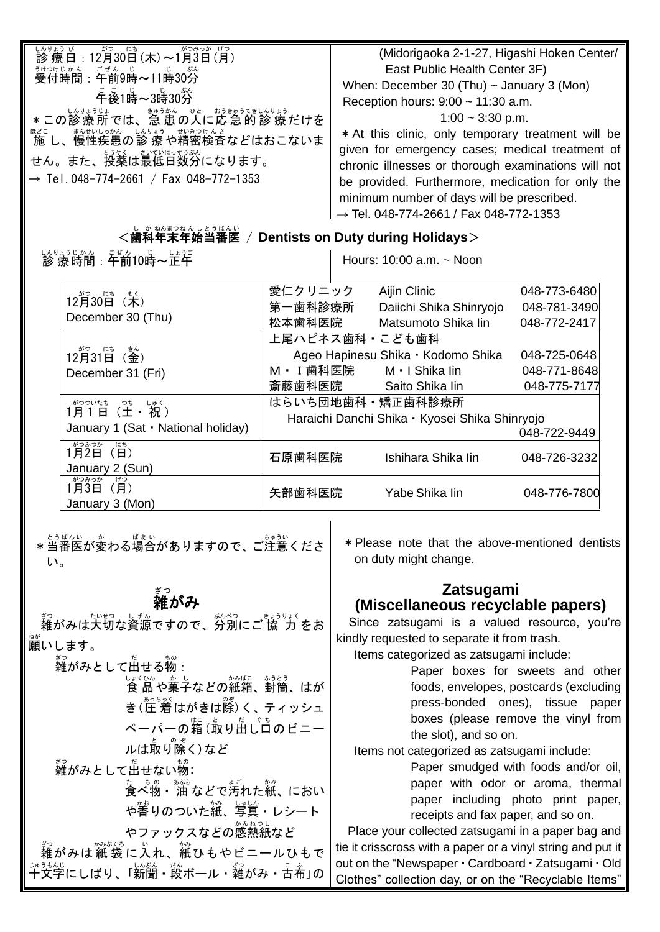| しんりょう び<br><u>სんりょう び</u><br>診療日:12月30日(木)~1月3日(月)<br><sub>うけっけじゕん こぜん じ</sub> 。<br>受付時間:午前9時~11時30分<br>*この診療所では、急患の人に応急的診療だけを<br>ほど ませいしっかん しんりょう せいみつけんき<br>「施 し、慢性疾患の診 療 や精密検査などはおこないま<br>せん。また、投薬は最低日数分になります。<br>$\rightarrow$ Tel. 048-774-2661 / Fax 048-772-1353 | (Midorigaoka 2-1-27, Higashi Hoken Center/<br>East Public Health Center 3F)<br>When: December 30 (Thu) $\sim$ January 3 (Mon)<br>Reception hours: $9:00 \sim 11:30$ a.m.<br>$1:00 \sim 3:30 \text{ p.m.}$<br>* At this clinic, only temporary treatment will be<br>given for emergency cases; medical treatment of<br>chronic illnesses or thorough examinations will not<br>be provided. Furthermore, medication for only the<br>minimum number of days will be prescribed. |
|-------------------------------------------------------------------------------------------------------------------------------------------------------------------------------------------------------------------------------------------------------------------------|------------------------------------------------------------------------------------------------------------------------------------------------------------------------------------------------------------------------------------------------------------------------------------------------------------------------------------------------------------------------------------------------------------------------------------------------------------------------------|
|                                                                                                                                                                                                                                                                         | $\rightarrow$ Tel. 048-774-2661 / Fax 048-772-1353                                                                                                                                                                                                                                                                                                                                                                                                                           |

## <歯科 し か 年末 ねんまつ 年始 ねんし 当番医 とうばんい / **Dentists on Duty during Holidays**>

しんりょうじゕん ごぜん じ しょうご<br>**診 療 時間:午前10時~正午** 

Hours: 10:00 a.m. ~ Noon

|                                                                                                                           | 愛仁クリニック                                        | Aijin Clinic                       | 048-773-6480 |
|---------------------------------------------------------------------------------------------------------------------------|------------------------------------------------|------------------------------------|--------------|
| 12月30日 (木)                                                                                                                | 第一歯科診療所                                        | Daiichi Shika Shinryojo            | 048-781-3490 |
| December 30 (Thu)                                                                                                         | 松本歯科医院                                         | Matsumoto Shika lin                | 048-772-2417 |
|                                                                                                                           | 上尾ハピネス歯科・こども歯科                                 |                                    |              |
| $12\overset{\text{{\tiny d}}{\circ}}{H}31\overset{\text{{\tiny L}}\circ}{H}(\overset{\text{{\tiny \textsf{E}}\circ}}{H})$ |                                                | Ageo Hapinesu Shika · Kodomo Shika | 048-725-0648 |
| December 31 (Fri)                                                                                                         | M · I 歯科医院 M · I Shika lin                     |                                    | 048-771-8648 |
|                                                                                                                           | 斎藤歯科医院                                         | Saito Shika lin                    | 048-775-7177 |
| がついたち っち しゅく<br>1月1日(土・祝)                                                                                                 | はらいち団地歯科・矯正歯科診療所                               |                                    |              |
|                                                                                                                           | Haraichi Danchi Shika · Kyosei Shika Shinryojo |                                    |              |
| January 1 (Sat · National holiday)                                                                                        |                                                |                                    | 048-722-9449 |
| がつふつか<br>にち<br>1月2日 (日)                                                                                                   | 石原歯科医院                                         | Ishihara Shika lin                 | 048-726-3232 |
| January 2 (Sun)                                                                                                           |                                                |                                    |              |
| がつみっか<br>げつ<br>1月3日 (月)                                                                                                   |                                                |                                    |              |
| January 3 (Mon)                                                                                                           | 矢部歯科医院                                         | Yabe Shika lin                     | 048-776-7800 |

\* 当番医が変わる場合がありますので、ご注意くださ い。

# <sub>ざっ</sub><br>雑がみ

<sub>る。</sub><br>雑がみは大切な資源ですので、分別にご 協 ゚ カ をお 。。<br>願いします。 。。<br>雑がみとして出せる物 :

しょくひんの楽器、釣筒、はが き(圧 着はがきは除)く、 ティッシュ ペーパーの<sup>精 (</sup>取り出し口のビニー ルは取り<sup>ので</sup>く)など 。。<br>雑がみとして出せない物: 、ま。<br>食べ物・油 などで汚れた紙、におい や蓄りのついた縦、写真・レシート やファックスなどの感熱紙など

。。<br>雑がみは紙 袋に入れ、紙ひもやビニールひもで 十文字 じゅうもんじ にしばり、「新聞 しんぶん ・段 だん ボール・雑 ざつ がみ・古布 こ ふ 」の

\*Please note that the above-mentioned dentists on duty might change.

#### **Zatsugami (Miscellaneous recyclable papers)**

Since zatsugami is a valued resource, you're kindly requested to separate it from trash.

Items categorized as zatsugami include:

Paper boxes for sweets and other foods, envelopes, postcards (excluding press-bonded ones), tissue paper boxes (please remove the vinyl from the slot), and so on.

Items not categorized as zatsugami include:

Paper smudged with foods and/or oil, paper with odor or aroma, thermal paper including photo print paper, receipts and fax paper, and so on.

Place your collected zatsugami in a paper bag and tie it crisscross with a paper or a vinyl string and put it out on the "Newspaper・Cardboard・Zatsugami・Old Clothes" collection day, or on the "Recyclable Items"